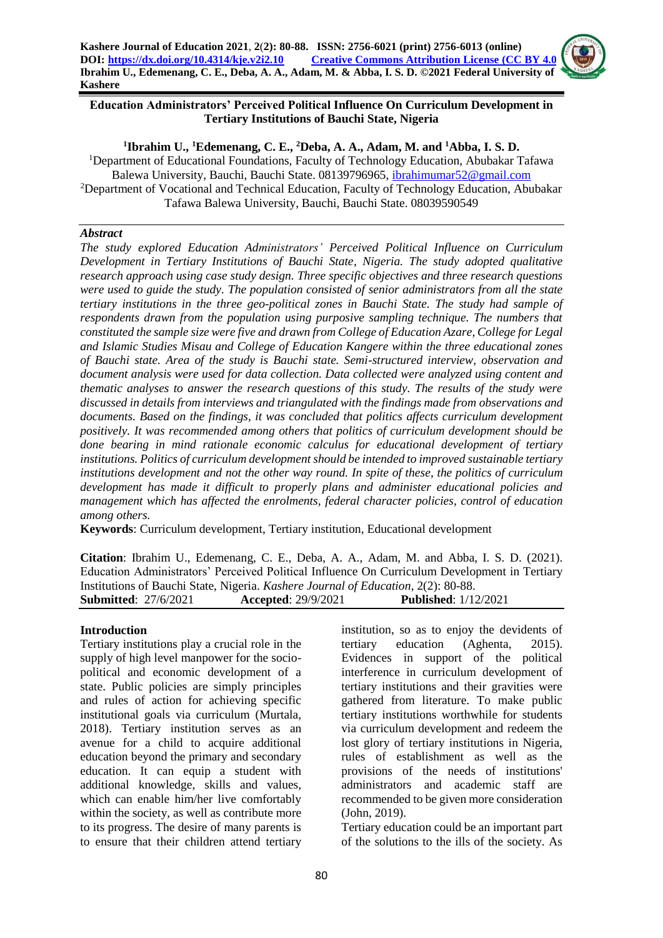

### **1 Ibrahim U., <sup>1</sup>Edemenang, C. E., <sup>2</sup>Deba, A. A., Adam, M. and <sup>1</sup>Abba, I. S. D.**

<sup>1</sup>Department of Educational Foundations, Faculty of Technology Education, Abubakar Tafawa Balewa University, Bauchi, Bauchi State. 08139796965, [ibrahimumar52@gmail.com](mailto:ibrahimumar52@gmail.com) <sup>2</sup>Department of Vocational and Technical Education, Faculty of Technology Education, Abubakar Tafawa Balewa University, Bauchi, Bauchi State. 08039590549

#### *Abstract*

*The study explored Education Administrators' Perceived Political Influence on Curriculum Development in Tertiary Institutions of Bauchi State, Nigeria. The study adopted qualitative research approach using case study design. Three specific objectives and three research questions were used to guide the study. The population consisted of senior administrators from all the state tertiary institutions in the three geo-political zones in Bauchi State. The study had sample of respondents drawn from the population using purposive sampling technique. The numbers that constituted the sample size were five and drawn from College of Education Azare, College for Legal and Islamic Studies Misau and College of Education Kangere within the three educational zones of Bauchi state. Area of the study is Bauchi state. Semi-structured interview, observation and document analysis were used for data collection. Data collected were analyzed using content and thematic analyses to answer the research questions of this study. The results of the study were discussed in details from interviews and triangulated with the findings made from observations and documents. Based on the findings, it was concluded that politics affects curriculum development positively. It was recommended among others that politics of curriculum development should be done bearing in mind rationale economic calculus for educational development of tertiary institutions. Politics of curriculum development should be intended to improved sustainable tertiary institutions development and not the other way round. In spite of these, the politics of curriculum development has made it difficult to properly plans and administer educational policies and management which has affected the enrolments, federal character policies, control of education among others.*

**Keywords**: Curriculum development, Tertiary institution, Educational development

**Citation**: Ibrahim U., Edemenang, C. E., Deba, A. A., Adam, M. and Abba, I. S. D. (2021). Education Administrators' Perceived Political Influence On Curriculum Development in Tertiary Institutions of Bauchi State, Nigeria. *Kashere Journal of Education*, 2(2): 80-88. **Submitted**: 27/6/2021 **Accepted**: 29/9/2021 **Published**: 1/12/2021

#### **Introduction**

Tertiary institutions play a crucial role in the supply of high level manpower for the sociopolitical and economic development of a state. Public policies are simply principles and rules of action for achieving specific institutional goals via curriculum (Murtala, 2018). Tertiary institution serves as an avenue for a child to acquire additional education beyond the primary and secondary education. It can equip a student with additional knowledge, skills and values, which can enable him/her live comfortably within the society, as well as contribute more to its progress. The desire of many parents is to ensure that their children attend tertiary

institution, so as to enjoy the devidents of tertiary education (Aghenta, 2015). Evidences in support of the political interference in curriculum development of tertiary institutions and their gravities were gathered from literature. To make public tertiary institutions worthwhile for students via curriculum development and redeem the lost glory of tertiary institutions in Nigeria, rules of establishment as well as the provisions of the needs of institutions' administrators and academic staff are recommended to be given more consideration (John, 2019).

Tertiary education could be an important part of the solutions to the ills of the society. As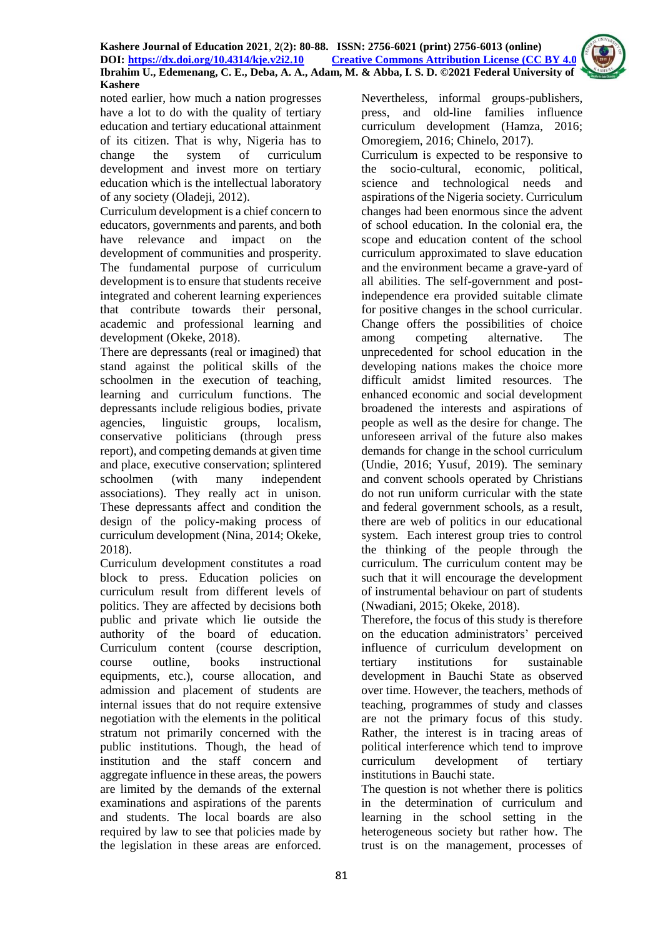

Curriculum development is a chief concern to educators, governments and parents, and both have relevance and impact on the development of communities and prosperity. The fundamental purpose of curriculum development is to ensure that students receive integrated and coherent learning experiences that contribute towards their personal, academic and professional learning and development (Okeke, 2018).

There are depressants (real or imagined) that stand against the political skills of the schoolmen in the execution of teaching, learning and curriculum functions. The depressants include religious bodies, private agencies, linguistic groups, localism, conservative politicians (through press report), and competing demands at given time and place, executive conservation; splintered schoolmen (with many independent associations). They really act in unison. These depressants affect and condition the design of the policy-making process of curriculum development (Nina, 2014; Okeke, 2018).

Curriculum development constitutes a road block to press. Education policies on curriculum result from different levels of politics. They are affected by decisions both public and private which lie outside the authority of the board of education. Curriculum content (course description, course outline, books instructional equipments, etc.), course allocation, and admission and placement of students are internal issues that do not require extensive negotiation with the elements in the political stratum not primarily concerned with the public institutions. Though, the head of institution and the staff concern and aggregate influence in these areas, the powers are limited by the demands of the external examinations and aspirations of the parents and students. The local boards are also required by law to see that policies made by the legislation in these areas are enforced.

Nevertheless, informal groups-publishers, press, and old-line families influence curriculum development (Hamza, 2016; Omoregiem, 2016; Chinelo, 2017).

Curriculum is expected to be responsive to the socio-cultural, economic, political, science and technological needs and aspirations of the Nigeria society. Curriculum changes had been enormous since the advent of school education. In the colonial era, the scope and education content of the school curriculum approximated to slave education and the environment became a grave-yard of all abilities. The self-government and postindependence era provided suitable climate for positive changes in the school curricular. Change offers the possibilities of choice among competing alternative. The unprecedented for school education in the developing nations makes the choice more difficult amidst limited resources. The enhanced economic and social development broadened the interests and aspirations of people as well as the desire for change. The unforeseen arrival of the future also makes demands for change in the school curriculum (Undie, 2016; Yusuf, 2019). The seminary and convent schools operated by Christians do not run uniform curricular with the state and federal government schools, as a result, there are web of politics in our educational system. Each interest group tries to control the thinking of the people through the curriculum. The curriculum content may be such that it will encourage the development of instrumental behaviour on part of students (Nwadiani, 2015; Okeke, 2018).

Therefore, the focus of this study is therefore on the education administrators' perceived influence of curriculum development on tertiary institutions for sustainable development in Bauchi State as observed over time. However, the teachers, methods of teaching, programmes of study and classes are not the primary focus of this study. Rather, the interest is in tracing areas of political interference which tend to improve curriculum development of tertiary institutions in Bauchi state.

The question is not whether there is politics in the determination of curriculum and learning in the school setting in the heterogeneous society but rather how. The trust is on the management, processes of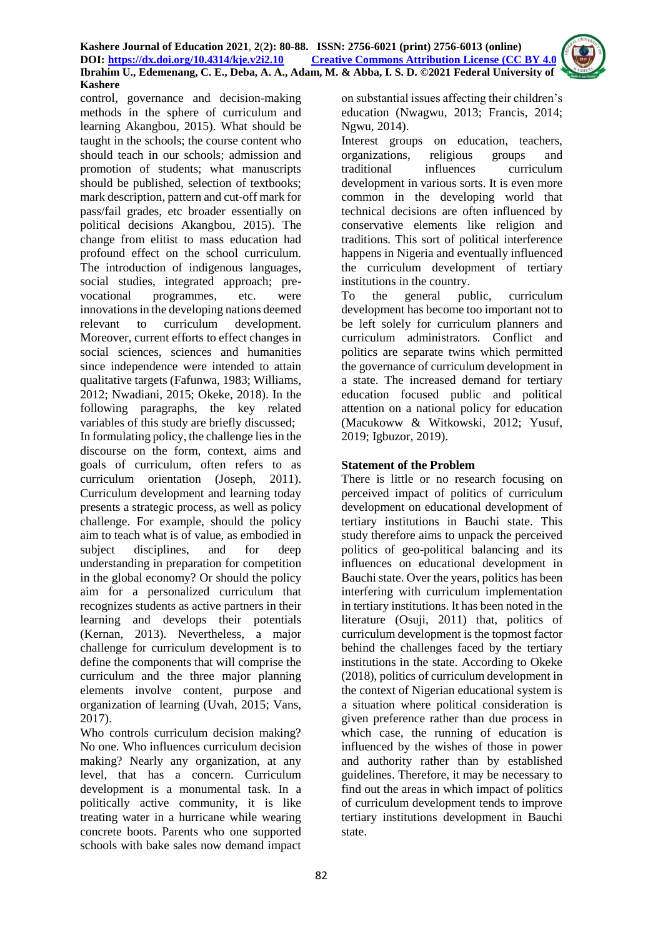control, governance and decision-making methods in the sphere of curriculum and learning Akangbou, 2015). What should be taught in the schools; the course content who should teach in our schools; admission and promotion of students; what manuscripts should be published, selection of textbooks; mark description, pattern and cut-off mark for pass/fail grades, etc broader essentially on political decisions Akangbou, 2015). The change from elitist to mass education had profound effect on the school curriculum. The introduction of indigenous languages, social studies, integrated approach; prevocational programmes, etc. were innovations in the developing nations deemed relevant to curriculum development. Moreover, current efforts to effect changes in social sciences, sciences and humanities since independence were intended to attain qualitative targets (Fafunwa, 1983; Williams, 2012; Nwadiani, 2015; Okeke, 2018). In the following paragraphs, the key related variables of this study are briefly discussed; In formulating policy, the challenge lies in the discourse on the form, context, aims and goals of curriculum, often refers to as curriculum orientation (Joseph, 2011). Curriculum development and learning today presents a strategic process, as well as policy challenge. For example, should the policy aim to teach what is of value, as embodied in subject disciplines, and for deep understanding in preparation for competition in the global economy? Or should the policy aim for a personalized curriculum that recognizes students as active partners in their learning and develops their potentials (Kernan, 2013). Nevertheless, a major challenge for curriculum development is to define the components that will comprise the curriculum and the three major planning elements involve content, purpose and organization of learning (Uvah, 2015; Vans, 2017).

Who controls curriculum decision making? No one. Who influences curriculum decision making? Nearly any organization, at any level, that has a concern. Curriculum development is a monumental task. In a politically active community, it is like treating water in a hurricane while wearing concrete boots. Parents who one supported schools with bake sales now demand impact

on substantial issues affecting their children's education (Nwagwu, 2013; Francis, 2014; Ngwu, 2014).

Interest groups on education, teachers, organizations, religious groups and traditional influences curriculum development in various sorts. It is even more common in the developing world that technical decisions are often influenced by conservative elements like religion and traditions. This sort of political interference happens in Nigeria and eventually influenced the curriculum development of tertiary institutions in the country.

To the general public, curriculum development has become too important not to be left solely for curriculum planners and curriculum administrators. Conflict and politics are separate twins which permitted the governance of curriculum development in a state. The increased demand for tertiary education focused public and political attention on a national policy for education (Macukoww & Witkowski, 2012; Yusuf, 2019; Igbuzor, 2019).

# **Statement of the Problem**

There is little or no research focusing on perceived impact of politics of curriculum development on educational development of tertiary institutions in Bauchi state. This study therefore aims to unpack the perceived politics of geo-political balancing and its influences on educational development in Bauchi state. Over the years, politics has been interfering with curriculum implementation in tertiary institutions. It has been noted in the literature (Osuji, 2011) that, politics of curriculum development is the topmost factor behind the challenges faced by the tertiary institutions in the state. According to Okeke (2018), politics of curriculum development in the context of Nigerian educational system is a situation where political consideration is given preference rather than due process in which case, the running of education is influenced by the wishes of those in power and authority rather than by established guidelines. Therefore, it may be necessary to find out the areas in which impact of politics of curriculum development tends to improve tertiary institutions development in Bauchi state.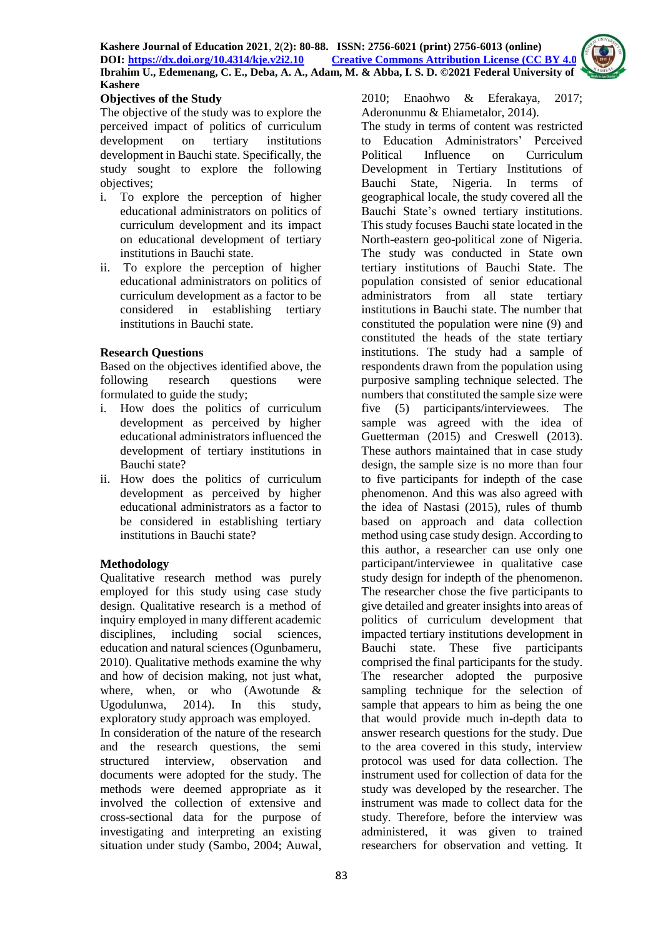

## **Objectives of the Study**

The objective of the study was to explore the perceived impact of politics of curriculum development on tertiary institutions development in Bauchi state. Specifically, the study sought to explore the following objectives;

- i. To explore the perception of higher educational administrators on politics of curriculum development and its impact on educational development of tertiary institutions in Bauchi state.
- ii. To explore the perception of higher educational administrators on politics of curriculum development as a factor to be considered in establishing tertiary institutions in Bauchi state.

## **Research Questions**

Based on the objectives identified above, the following research questions were formulated to guide the study;

- i. How does the politics of curriculum development as perceived by higher educational administrators influenced the development of tertiary institutions in Bauchi state?
- ii. How does the politics of curriculum development as perceived by higher educational administrators as a factor to be considered in establishing tertiary institutions in Bauchi state?

# **Methodology**

Qualitative research method was purely employed for this study using case study design. Qualitative research is a method of inquiry employed in many different academic disciplines, including social sciences, education and natural sciences (Ogunbameru, 2010). Qualitative methods examine the why and how of decision making, not just what, where, when, or who (Awotunde & Ugodulunwa, 2014). In this study, exploratory study approach was employed. In consideration of the nature of the research and the research questions, the semi structured interview, observation and documents were adopted for the study. The methods were deemed appropriate as it involved the collection of extensive and cross-sectional data for the purpose of investigating and interpreting an existing situation under study (Sambo, 2004; Auwal, 2010; Enaohwo & Eferakaya, 2017; Aderonunmu & Ehiametalor, 2014).

The study in terms of content was restricted to Education Administrators' Perceived Political Influence on Curriculum Development in Tertiary Institutions of Bauchi State, Nigeria. In terms of geographical locale, the study covered all the Bauchi State's owned tertiary institutions. This study focuses Bauchi state located in the North-eastern geo-political zone of Nigeria. The study was conducted in State own tertiary institutions of Bauchi State. The population consisted of senior educational administrators from all state tertiary institutions in Bauchi state. The number that constituted the population were nine (9) and constituted the heads of the state tertiary institutions. The study had a sample of respondents drawn from the population using purposive sampling technique selected. The numbers that constituted the sample size were five (5) participants/interviewees. The sample was agreed with the idea of Guetterman (2015) and Creswell (2013). These authors maintained that in case study design, the sample size is no more than four to five participants for indepth of the case phenomenon. And this was also agreed with the idea of Nastasi (2015), rules of thumb based on approach and data collection method using case study design. According to this author, a researcher can use only one participant/interviewee in qualitative case study design for indepth of the phenomenon. The researcher chose the five participants to give detailed and greater insights into areas of politics of curriculum development that impacted tertiary institutions development in Bauchi state. These five participants comprised the final participants for the study. The researcher adopted the purposive sampling technique for the selection of sample that appears to him as being the one that would provide much in-depth data to answer research questions for the study. Due to the area covered in this study, interview protocol was used for data collection. The instrument used for collection of data for the study was developed by the researcher. The instrument was made to collect data for the study. Therefore, before the interview was administered, it was given to trained researchers for observation and vetting. It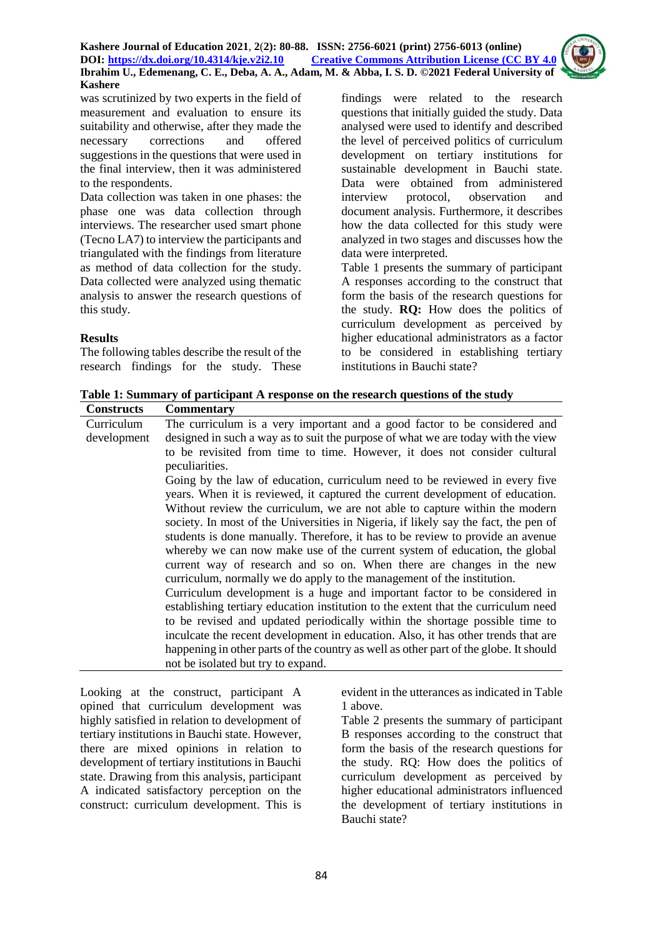was scrutinized by two experts in the field of measurement and evaluation to ensure its suitability and otherwise, after they made the necessary corrections and offered suggestions in the questions that were used in the final interview, then it was administered to the respondents.

Data collection was taken in one phases: the phase one was data collection through interviews. The researcher used smart phone (Tecno LA7) to interview the participants and triangulated with the findings from literature as method of data collection for the study. Data collected were analyzed using thematic analysis to answer the research questions of this study.

#### **Results**

The following tables describe the result of the research findings for the study. These findings were related to the research questions that initially guided the study. Data analysed were used to identify and described the level of perceived politics of curriculum development on tertiary institutions for sustainable development in Bauchi state. Data were obtained from administered interview protocol, observation and document analysis. Furthermore, it describes how the data collected for this study were analyzed in two stages and discusses how the data were interpreted.

Table 1 presents the summary of participant A responses according to the construct that form the basis of the research questions for the study. **RQ:** How does the politics of curriculum development as perceived by higher educational administrators as a factor to be considered in establishing tertiary institutions in Bauchi state?

**Table 1: Summary of participant A response on the research questions of the study**

| <b>Constructs</b> | <b>Commentary</b>                                                                     |
|-------------------|---------------------------------------------------------------------------------------|
| Curriculum        | The curriculum is a very important and a good factor to be considered and             |
| development       | designed in such a way as to suit the purpose of what we are today with the view      |
|                   | to be revisited from time to time. However, it does not consider cultural             |
|                   | peculiarities.                                                                        |
|                   | Going by the law of education, curriculum need to be reviewed in every five           |
|                   | years. When it is reviewed, it captured the current development of education.         |
|                   | Without review the curriculum, we are not able to capture within the modern           |
|                   | society. In most of the Universities in Nigeria, if likely say the fact, the pen of   |
|                   | students is done manually. Therefore, it has to be review to provide an avenue        |
|                   | whereby we can now make use of the current system of education, the global            |
|                   | current way of research and so on. When there are changes in the new                  |
|                   | curriculum, normally we do apply to the management of the institution.                |
|                   | Curriculum development is a huge and important factor to be considered in             |
|                   | establishing tertiary education institution to the extent that the curriculum need    |
|                   | to be revised and updated periodically within the shortage possible time to           |
|                   | inculcate the recent development in education. Also, it has other trends that are     |
|                   | happening in other parts of the country as well as other part of the globe. It should |
|                   | not be isolated but try to expand.                                                    |

Looking at the construct, participant A opined that curriculum development was highly satisfied in relation to development of tertiary institutions in Bauchi state. However, there are mixed opinions in relation to development of tertiary institutions in Bauchi state. Drawing from this analysis, participant A indicated satisfactory perception on the construct: curriculum development. This is

evident in the utterances as indicated in Table 1 above.

Table 2 presents the summary of participant B responses according to the construct that form the basis of the research questions for the study. RQ: How does the politics of curriculum development as perceived by higher educational administrators influenced the development of tertiary institutions in Bauchi state?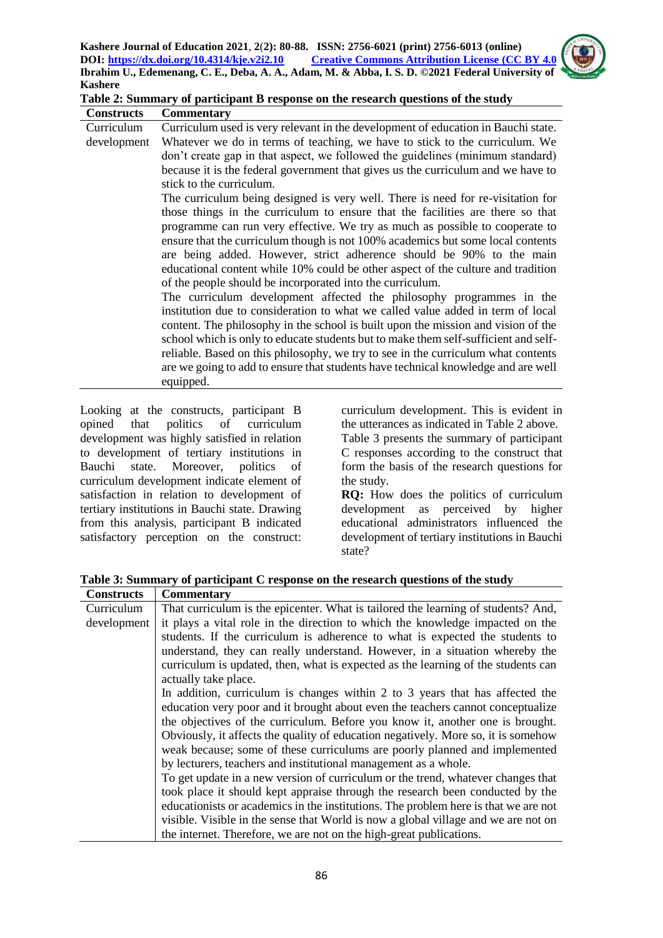

| Table 2: Summary of participant B response on the research questions of the study |  |
|-----------------------------------------------------------------------------------|--|
|-----------------------------------------------------------------------------------|--|

| <b>Constructs</b> | <b>Commentary</b>                                                                   |
|-------------------|-------------------------------------------------------------------------------------|
| Curriculum        | Curriculum used is very relevant in the development of education in Bauchi state.   |
| development       | Whatever we do in terms of teaching, we have to stick to the curriculum. We         |
|                   | don't create gap in that aspect, we followed the guidelines (minimum standard)      |
|                   | because it is the federal government that gives us the curriculum and we have to    |
|                   | stick to the curriculum.                                                            |
|                   | The curriculum being designed is very well. There is need for re-visitation for     |
|                   | those things in the curriculum to ensure that the facilities are there so that      |
|                   | programme can run very effective. We try as much as possible to cooperate to        |
|                   | ensure that the curriculum though is not 100% academics but some local contents     |
|                   | are being added. However, strict adherence should be 90% to the main                |
|                   | educational content while 10% could be other aspect of the culture and tradition    |
|                   | of the people should be incorporated into the curriculum.                           |
|                   | The curriculum development affected the philosophy programmes in the                |
|                   | institution due to consideration to what we called value added in term of local     |
|                   | content. The philosophy in the school is built upon the mission and vision of the   |
|                   | school which is only to educate students but to make them self-sufficient and self- |
|                   | reliable. Based on this philosophy, we try to see in the curriculum what contents   |
|                   | are we going to add to ensure that students have technical knowledge and are well   |
|                   | equipped.                                                                           |
|                   |                                                                                     |

Looking at the constructs, participant B opined that politics of curriculum development was highly satisfied in relation to development of tertiary institutions in Bauchi state. Moreover, politics of curriculum development indicate element of satisfaction in relation to development of tertiary institutions in Bauchi state. Drawing from this analysis, participant B indicated satisfactory perception on the construct: curriculum development. This is evident in the utterances as indicated in Table 2 above. Table 3 presents the summary of participant C responses according to the construct that form the basis of the research questions for the study.

**RQ:** How does the politics of curriculum development as perceived by higher educational administrators influenced the development of tertiary institutions in Bauchi state?

**Table 3: Summary of participant C response on the research questions of the study**

| <b>Constructs</b> | <b>Commentary</b>                                                                   |
|-------------------|-------------------------------------------------------------------------------------|
| Curriculum        | That curriculum is the epicenter. What is tailored the learning of students? And,   |
| development       | it plays a vital role in the direction to which the knowledge impacted on the       |
|                   | students. If the curriculum is adherence to what is expected the students to        |
|                   | understand, they can really understand. However, in a situation whereby the         |
|                   | curriculum is updated, then, what is expected as the learning of the students can   |
|                   | actually take place.                                                                |
|                   | In addition, curriculum is changes within 2 to 3 years that has affected the        |
|                   | education very poor and it brought about even the teachers cannot conceptualize     |
|                   | the objectives of the curriculum. Before you know it, another one is brought.       |
|                   | Obviously, it affects the quality of education negatively. More so, it is somehow   |
|                   | weak because; some of these curriculums are poorly planned and implemented          |
|                   | by lecturers, teachers and institutional management as a whole.                     |
|                   | To get update in a new version of curriculum or the trend, whatever changes that    |
|                   | took place it should kept appraise through the research been conducted by the       |
|                   | educationists or academics in the institutions. The problem here is that we are not |
|                   | visible. Visible in the sense that World is now a global village and we are not on  |
|                   | the internet. Therefore, we are not on the high-great publications.                 |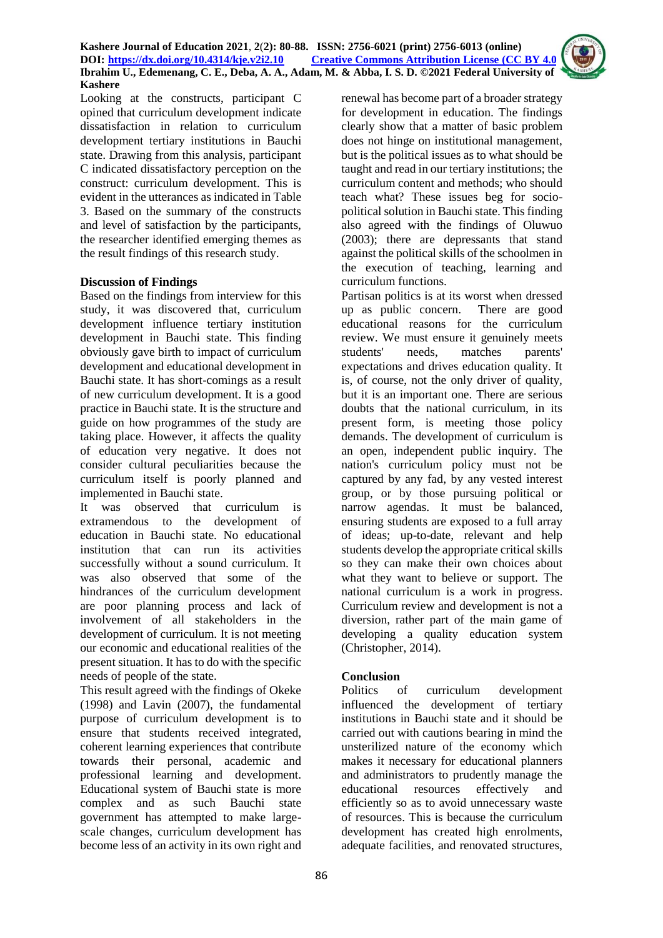Looking at the constructs, participant C opined that curriculum development indicate dissatisfaction in relation to curriculum development tertiary institutions in Bauchi state. Drawing from this analysis, participant C indicated dissatisfactory perception on the construct: curriculum development. This is evident in the utterances as indicated in Table 3. Based on the summary of the constructs and level of satisfaction by the participants, the researcher identified emerging themes as the result findings of this research study.

## **Discussion of Findings**

Based on the findings from interview for this study, it was discovered that, curriculum development influence tertiary institution development in Bauchi state. This finding obviously gave birth to impact of curriculum development and educational development in Bauchi state. It has short-comings as a result of new curriculum development. It is a good practice in Bauchi state. It is the structure and guide on how programmes of the study are taking place. However, it affects the quality of education very negative. It does not consider cultural peculiarities because the curriculum itself is poorly planned and implemented in Bauchi state.

It was observed that curriculum is extramendous to the development of education in Bauchi state. No educational institution that can run its activities successfully without a sound curriculum. It was also observed that some of the hindrances of the curriculum development are poor planning process and lack of involvement of all stakeholders in the development of curriculum. It is not meeting our economic and educational realities of the present situation. It has to do with the specific needs of people of the state.

This result agreed with the findings of Okeke (1998) and Lavin (2007), the fundamental purpose of curriculum development is to ensure that students received integrated, coherent learning experiences that contribute towards their personal, academic and professional learning and development. Educational system of Bauchi state is more complex and as such Bauchi state government has attempted to make largescale changes, curriculum development has become less of an activity in its own right and

renewal has become part of a broader strategy for development in education. The findings clearly show that a matter of basic problem does not hinge on institutional management, but is the political issues as to what should be taught and read in our tertiary institutions; the curriculum content and methods; who should teach what? These issues beg for sociopolitical solution in Bauchi state. This finding also agreed with the findings of Oluwuo (2003); there are depressants that stand against the political skills of the schoolmen in the execution of teaching, learning and curriculum functions.

Partisan politics is at its worst when dressed up as public concern. There are good educational reasons for the curriculum review. We must ensure it genuinely meets students' needs, matches parents' expectations and drives education quality. It is, of course, not the only driver of quality, but it is an important one. There are serious doubts that the national curriculum, in its present form, is meeting those policy demands. The development of curriculum is an open, independent public inquiry. The nation's curriculum policy must not be captured by any fad, by any vested interest group, or by those pursuing political or narrow agendas. It must be balanced, ensuring students are exposed to a full array of ideas; up-to-date, relevant and help students develop the appropriate critical skills so they can make their own choices about what they want to believe or support. The national curriculum is a work in progress. Curriculum review and development is not a diversion, rather part of the main game of developing a quality education system (Christopher, 2014).

## **Conclusion**

Politics of curriculum development influenced the development of tertiary institutions in Bauchi state and it should be carried out with cautions bearing in mind the unsterilized nature of the economy which makes it necessary for educational planners and administrators to prudently manage the educational resources effectively and efficiently so as to avoid unnecessary waste of resources. This is because the curriculum development has created high enrolments, adequate facilities, and renovated structures,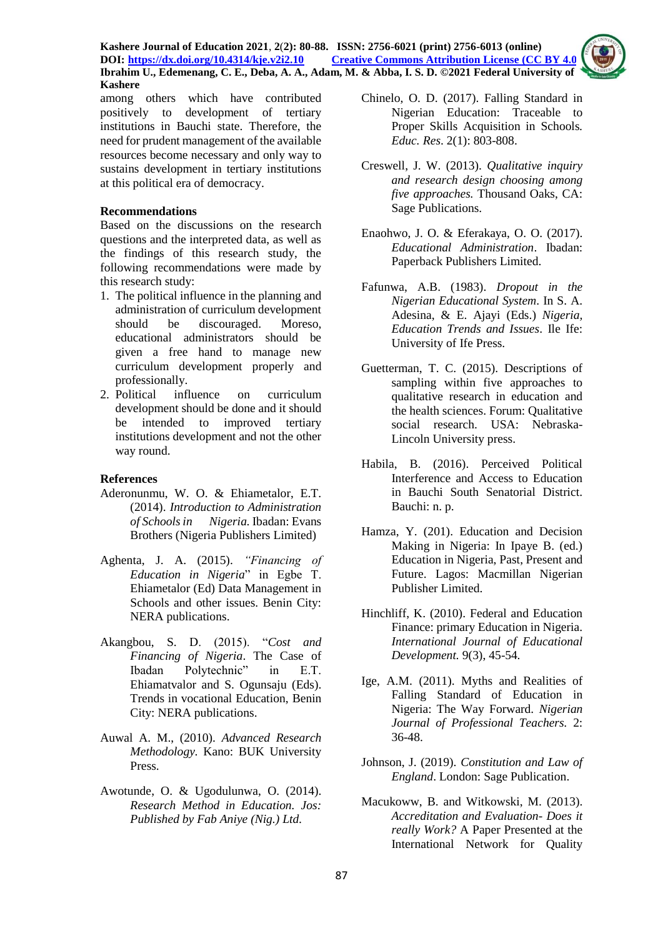**Kashere Journal of Education 2021**, **2**(**2): 80-88. ISSN: 2756-6021 (print) 2756-6013 (online) DOI: <https://dx.doi.org/10.4314/kje.v2i2.10> [Creative Commons Attribution License](http://creativecommons.org/licenses/by/4.0/) (CC BY 4.0) Ibrahim U., Edemenang, C. E., Deba, A. A., Adam, M. & Abba, I. S. D. ©2021 Federal University of Kashere**



among others which have contributed positively to development of tertiary institutions in Bauchi state. Therefore, the need for prudent management of the available resources become necessary and only way to sustains development in tertiary institutions at this political era of democracy.

## **Recommendations**

Based on the discussions on the research questions and the interpreted data, as well as the findings of this research study, the following recommendations were made by this research study:

- 1. The political influence in the planning and administration of curriculum development should be discouraged. Moreso, educational administrators should be given a free hand to manage new curriculum development properly and professionally.
- 2. Political influence on curriculum development should be done and it should be intended to improved tertiary institutions development and not the other way round.

## **References**

- Aderonunmu, W. O. & Ehiametalor, E.T. (2014). *Introduction to Administration of Schools in Nigeria.* Ibadan: Evans Brothers (Nigeria Publishers Limited)
- Aghenta, J. A. (2015). *"Financing of Education in Nigeria*" in Egbe T. Ehiametalor (Ed) Data Management in Schools and other issues. Benin City: NERA publications.
- Akangbou, S. D. (2015). "*Cost and Financing of Nigeria*. The Case of Ibadan Polytechnic" in E.T. Ehiamatvalor and S. Ogunsaju (Eds). Trends in vocational Education, Benin City: NERA publications.
- Auwal A. M., (2010). *Advanced Research Methodology.* Kano: BUK University Press.
- Awotunde, O. & Ugodulunwa, O. (2014). *Research Method in Education. Jos: Published by Fab Aniye (Nig.) Ltd.*
- Chinelo, O. D. (2017). Falling Standard in Nigerian Education: Traceable to Proper Skills Acquisition in Schools*. Educ. Res*. 2(1): 803-808.
- Creswell, J. W. (2013). *Qualitative inquiry and research design choosing among five approaches.* Thousand Oaks, CA: Sage Publications.
- Enaohwo, J. O. & Eferakaya, O. O. (2017). *Educational Administration*. Ibadan: Paperback Publishers Limited.
- Fafunwa, A.B. (1983). *Dropout in the Nigerian Educational System*. In S. A. Adesina, & E. Ajayi (Eds.) *Nigeria, Education Trends and Issues*. Ile Ife: University of Ife Press.
- Guetterman, T. C. (2015). Descriptions of sampling within five approaches to qualitative research in education and the health sciences. Forum: Qualitative social research. USA: Nebraska-Lincoln University press.
- Habila, B. (2016). Perceived Political Interference and Access to Education in Bauchi South Senatorial District. Bauchi: n. p.
- Hamza, Y. (201). Education and Decision Making in Nigeria: In Ipaye B. (ed.) Education in Nigeria, Past, Present and Future. Lagos: Macmillan Nigerian Publisher Limited.
- Hinchliff, K. (2010). Federal and Education Finance: primary Education in Nigeria. *International Journal of Educational Development.* 9(3), 45-54*.*
- Ige, A.M. (2011). Myths and Realities of Falling Standard of Education in Nigeria: The Way Forward. *Nigerian Journal of Professional Teachers.* 2: 36-48.
- Johnson, J. (2019). *Constitution and Law of England*. London: Sage Publication.
- Macukoww, B. and Witkowski, M. (2013). *Accreditation and Evaluation*- *Does it really Work?* A Paper Presented at the International Network for Quality